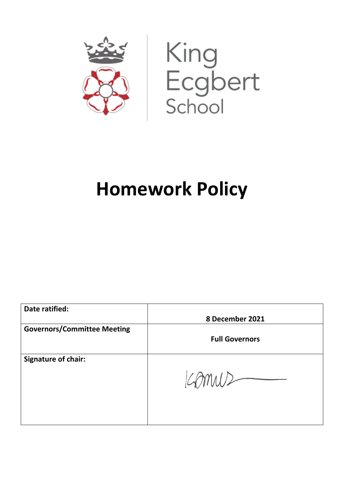

# **Homework Policy**

| Date ratified:                     | 8 December 2021       |
|------------------------------------|-----------------------|
|                                    |                       |
| <b>Governors/Committee Meeting</b> |                       |
|                                    | <b>Full Governors</b> |
| <b>Signature of chair:</b>         |                       |
|                                    |                       |
|                                    | MMU2                  |
|                                    |                       |
|                                    |                       |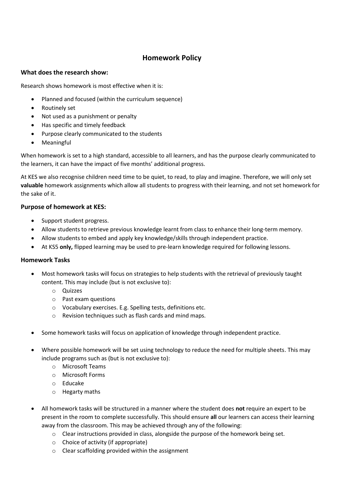# **Homework Policy**

## **What does the research show:**

Research shows homework is most effective when it is:

- Planned and focused (within the curriculum sequence)
- Routinely set
- Not used as a punishment or penalty
- Has specific and timely feedback
- Purpose clearly communicated to the students
- **Meaningful**

When homework is set to a high standard, accessible to all learners, and has the purpose clearly communicated to the learners, it can have the impact of five months' additional progress.

At KES we also recognise children need time to be quiet, to read, to play and imagine. Therefore, we will only set **valuable** homework assignments which allow all students to progress with their learning, and not set homework for the sake of it.

### **Purpose of homework at KES:**

- Support student progress.
- Allow students to retrieve previous knowledge learnt from class to enhance their long-term memory.
- Allow students to embed and apply key knowledge/skills through independent practice.
- At KS5 **only,** flipped learning may be used to pre-learn knowledge required for following lessons.

### **Homework Tasks**

- Most homework tasks will focus on strategies to help students with the retrieval of previously taught content. This may include (but is not exclusive to):
	- o Quizzes
	- o Past exam questions
	- o Vocabulary exercises. E.g. Spelling tests, definitions etc.
	- o Revision techniques such as flash cards and mind maps.
- Some homework tasks will focus on application of knowledge through independent practice.
- Where possible homework will be set using technology to reduce the need for multiple sheets. This may include programs such as (but is not exclusive to):
	- o Microsoft Teams
	- o Microsoft Forms
	- o Educake
	- o Hegarty maths
- All homework tasks will be structured in a manner where the student does **not** require an expert to be present in the room to complete successfully. This should ensure **all** our learners can access their learning away from the classroom. This may be achieved through any of the following:
	- $\circ$  Clear instructions provided in class, alongside the purpose of the homework being set.
	- o Choice of activity (if appropriate)
	- o Clear scaffolding provided within the assignment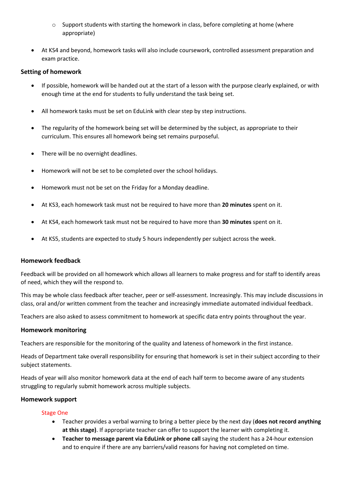- $\circ$  Support students with starting the homework in class, before completing at home (where appropriate)
- At KS4 and beyond, homework tasks will also include coursework, controlled assessment preparation and exam practice.

#### **Setting of homework**

- If possible, homework will be handed out at the start of a lesson with the purpose clearly explained, or with enough time at the end for students to fully understand the task being set.
- All homework tasks must be set on EduLink with clear step by step instructions.
- The regularity of the homework being set will be determined by the subject, as appropriate to their curriculum. This ensures all homework being set remains purposeful.
- There will be no overnight deadlines.
- Homework will not be set to be completed over the school holidays.
- Homework must not be set on the Friday for a Monday deadline.
- At KS3, each homework task must not be required to have more than **20 minutes** spent on it.
- At KS4, each homework task must not be required to have more than **30 minutes** spent on it.
- At KS5, students are expected to study 5 hours independently per subject across the week.

### **Homework feedback**

Feedback will be provided on all homework which allows all learners to make progress and for staff to identify areas of need, which they will the respond to.

This may be whole class feedback after teacher, peer or self-assessment. Increasingly. This may include discussions in class, oral and/or written comment from the teacher and increasingly immediate automated individual feedback.

Teachers are also asked to assess commitment to homework at specific data entry points throughout the year.

#### **Homework monitoring**

Teachers are responsible for the monitoring of the quality and lateness of homework in the first instance.

Heads of Department take overall responsibility for ensuring that homework is set in their subject according to their subject statements.

Heads of year will also monitor homework data at the end of each half term to become aware of any students struggling to regularly submit homework across multiple subjects.

### **Homework support**

#### Stage One

- Teacher provides a verbal warning to bring a better piece by the next day (**does not record anything at this stage)**. If appropriate teacher can offer to support the learner with completing it.
- **Teacher to message parent via EduLink or phone call** saying the student has a 24-hour extension and to enquire if there are any barriers/valid reasons for having not completed on time.